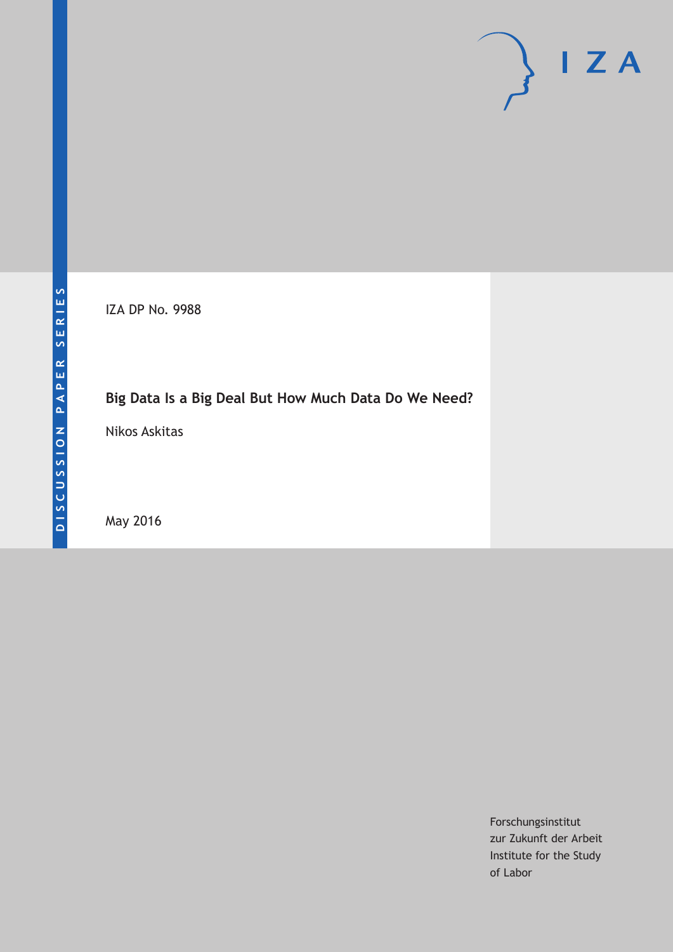

IZA DP No. 9988

# **Big Data Is a Big Deal But How Much Data Do We Need?**

Nikos Askitas

May 2016

Forschungsinstitut zur Zukunft der Arbeit Institute for the Study of Labor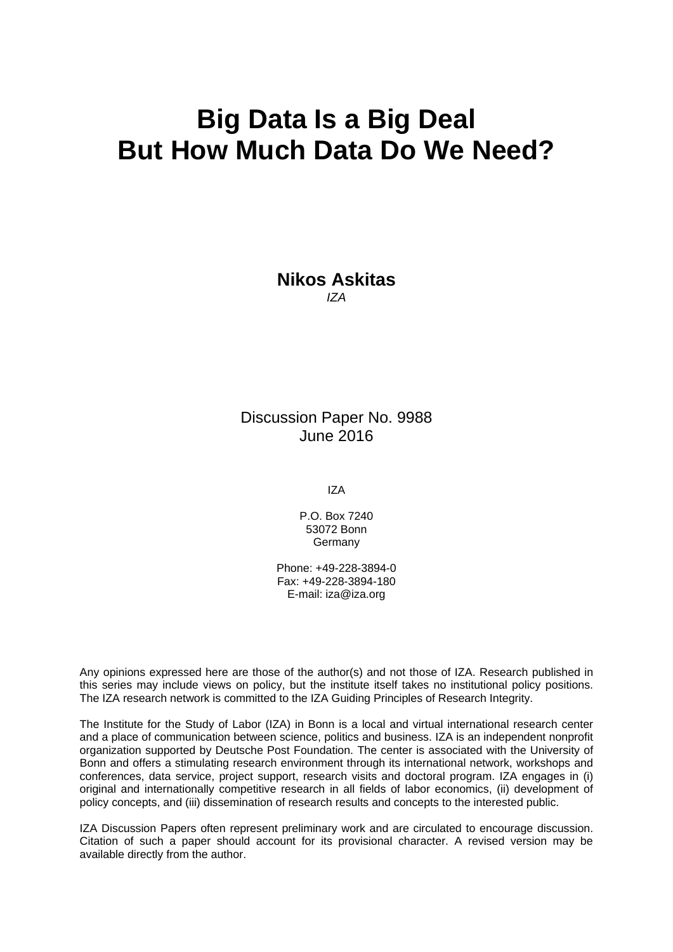# **Big Data Is a Big Deal But How Much Data Do We Need?**

**Nikos Askitas**  *IZA* 

Discussion Paper No. 9988 June 2016

IZA

P.O. Box 7240 53072 Bonn Germany

Phone: +49-228-3894-0 Fax: +49-228-3894-180 E-mail: iza@iza.org

Any opinions expressed here are those of the author(s) and not those of IZA. Research published in this series may include views on policy, but the institute itself takes no institutional policy positions. The IZA research network is committed to the IZA Guiding Principles of Research Integrity.

The Institute for the Study of Labor (IZA) in Bonn is a local and virtual international research center and a place of communication between science, politics and business. IZA is an independent nonprofit organization supported by Deutsche Post Foundation. The center is associated with the University of Bonn and offers a stimulating research environment through its international network, workshops and conferences, data service, project support, research visits and doctoral program. IZA engages in (i) original and internationally competitive research in all fields of labor economics, (ii) development of policy concepts, and (iii) dissemination of research results and concepts to the interested public.

IZA Discussion Papers often represent preliminary work and are circulated to encourage discussion. Citation of such a paper should account for its provisional character. A revised version may be available directly from the author.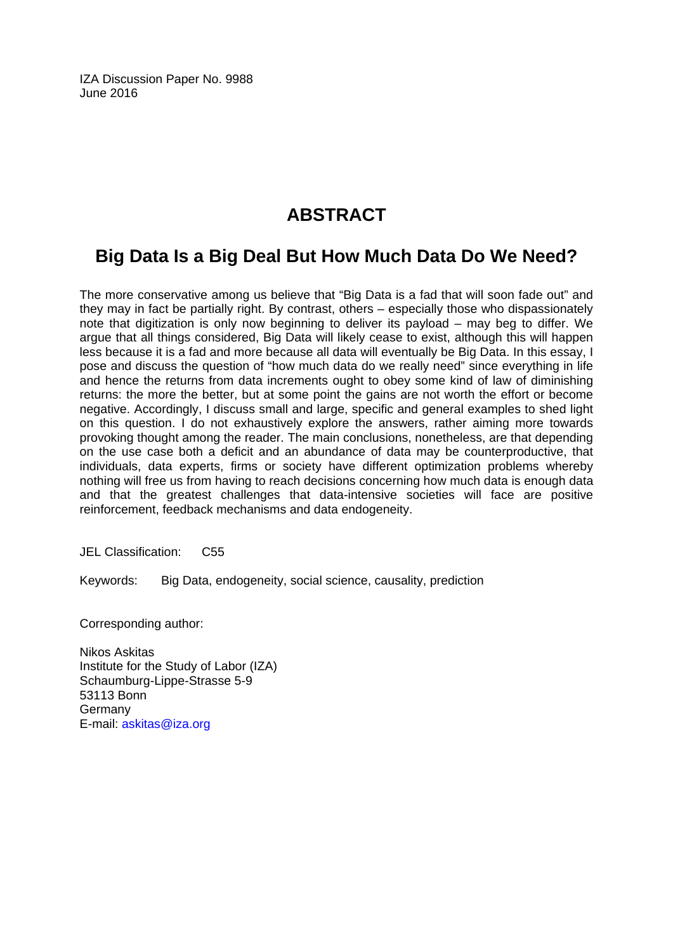IZA Discussion Paper No. 9988 June 2016

# **ABSTRACT**

## **Big Data Is a Big Deal But How Much Data Do We Need?**

The more conservative among us believe that "Big Data is a fad that will soon fade out" and they may in fact be partially right. By contrast, others – especially those who dispassionately note that digitization is only now beginning to deliver its payload – may beg to differ. We argue that all things considered, Big Data will likely cease to exist, although this will happen less because it is a fad and more because all data will eventually be Big Data. In this essay, I pose and discuss the question of "how much data do we really need" since everything in life and hence the returns from data increments ought to obey some kind of law of diminishing returns: the more the better, but at some point the gains are not worth the effort or become negative. Accordingly, I discuss small and large, specific and general examples to shed light on this question. I do not exhaustively explore the answers, rather aiming more towards provoking thought among the reader. The main conclusions, nonetheless, are that depending on the use case both a deficit and an abundance of data may be counterproductive, that individuals, data experts, firms or society have different optimization problems whereby nothing will free us from having to reach decisions concerning how much data is enough data and that the greatest challenges that data-intensive societies will face are positive reinforcement, feedback mechanisms and data endogeneity.

JEL Classification: C55

Keywords: Big Data, endogeneity, social science, causality, prediction

Corresponding author:

Nikos Askitas Institute for the Study of Labor (IZA) Schaumburg-Lippe-Strasse 5-9 53113 Bonn Germany E-mail: askitas@iza.org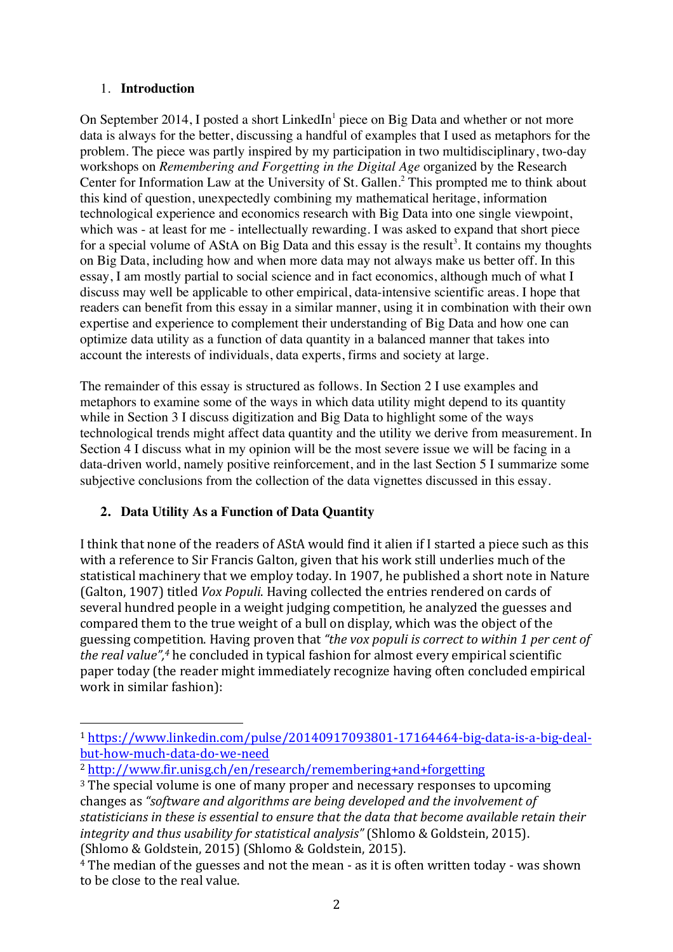#### 1. **Introduction**

On September 2014, I posted a short LinkedIn<sup>1</sup> piece on Big Data and whether or not more data is always for the better, discussing a handful of examples that I used as metaphors for the problem. The piece was partly inspired by my participation in two multidisciplinary, two-day workshops on *Remembering and Forgetting in the Digital Age* organized by the Research Center for Information Law at the University of St. Gallen. <sup>2</sup> This prompted me to think about this kind of question, unexpectedly combining my mathematical heritage, information technological experience and economics research with Big Data into one single viewpoint, which was - at least for me - intellectually rewarding. I was asked to expand that short piece for a special volume of AStA on Big Data and this essay is the result<sup>3</sup>. It contains my thoughts on Big Data, including how and when more data may not always make us better off. In this essay, I am mostly partial to social science and in fact economics, although much of what I discuss may well be applicable to other empirical, data-intensive scientific areas. I hope that readers can benefit from this essay in a similar manner, using it in combination with their own expertise and experience to complement their understanding of Big Data and how one can optimize data utility as a function of data quantity in a balanced manner that takes into account the interests of individuals, data experts, firms and society at large.

The remainder of this essay is structured as follows. In Section 2 I use examples and metaphors to examine some of the ways in which data utility might depend to its quantity while in Section 3 I discuss digitization and Big Data to highlight some of the ways technological trends might affect data quantity and the utility we derive from measurement. In Section 4 I discuss what in my opinion will be the most severe issue we will be facing in a data-driven world, namely positive reinforcement, and in the last Section 5 I summarize some subjective conclusions from the collection of the data vignettes discussed in this essay.

## **2. Data Utility As a Function of Data Quantity**

 

I think that none of the readers of AStA would find it alien if I started a piece such as this with a reference to Sir Francis Galton, given that his work still underlies much of the statistical machinery that we employ today. In 1907, he published a short note in Nature (Galton, 1907) titled *Vox Populi*. Having collected the entries rendered on cards of several hundred people in a weight judging competition, he analyzed the guesses and compared them to the true weight of a bull on display, which was the object of the guessing competition. Having proven that "the vox populi is correct to within 1 per cent of *the real value"*,<sup>4</sup> he concluded in typical fashion for almost every empirical scientific paper today (the reader might immediately recognize having often concluded empirical work in similar fashion):

<sup>1</sup> https://www.linkedin.com/pulse/20140917093801-17164464-big-data-is-a-big-dealbut-how-much-data-do-we-need

<sup>2</sup> http://www.fir.unisg.ch/en/research/remembering+and+forgetting

 $3$  The special volume is one of many proper and necessary responses to upcoming changes as "software and algorithms are being developed and the involvement of statisticians in these is essential to ensure that the data that become available retain their integrity and thus usability for statistical analysis" (Shlomo & Goldstein, 2015). (Shlomo & Goldstein, 2015) (Shlomo & Goldstein, 2015).

 $4$  The median of the guesses and not the mean - as it is often written today - was shown to be close to the real value.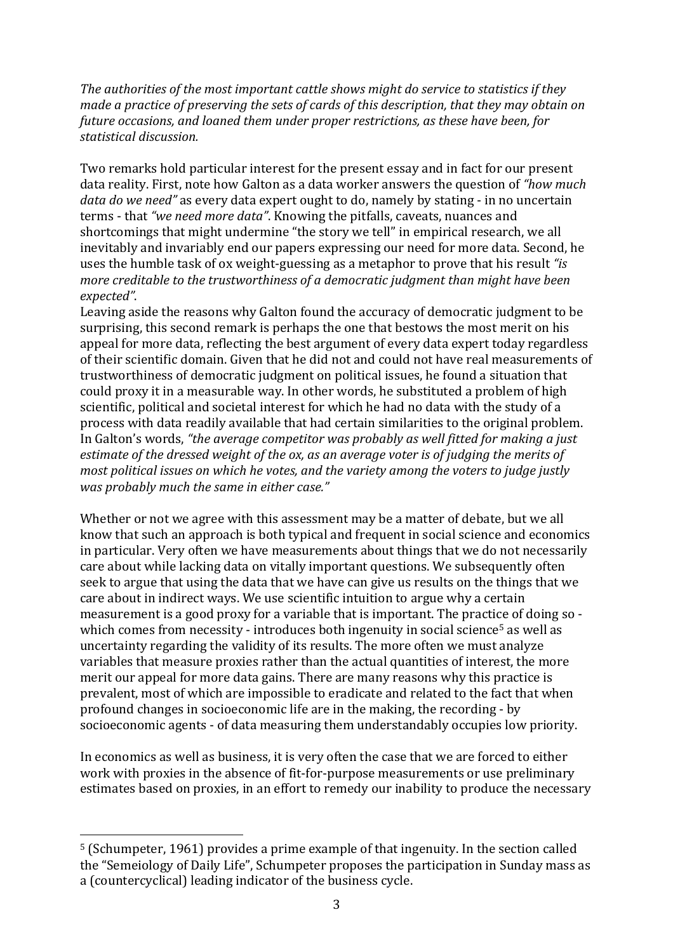The authorities of the most important cattle shows might do service to statistics if they *made a practice of preserving the sets of cards of this description, that they may obtain on future occasions, and loaned them under proper restrictions, as these have been, for statistical discussion.* 

Two remarks hold particular interest for the present essay and in fact for our present data reality. First, note how Galton as a data worker answers the question of *"how much data do we need"* as every data expert ought to do, namely by stating - in no uncertain terms - that "we need more data". Knowing the pitfalls, caveats, nuances and shortcomings that might undermine "the story we tell" in empirical research, we all inevitably and invariably end our papers expressing our need for more data. Second, he uses the humble task of ox weight-guessing as a metaphor to prove that his result "is *more creditable to the trustworthiness of a democratic judgment than might have been expected"*. 

Leaving aside the reasons why Galton found the accuracy of democratic judgment to be surprising, this second remark is perhaps the one that bestows the most merit on his appeal for more data, reflecting the best argument of every data expert today regardless of their scientific domain. Given that he did not and could not have real measurements of trustworthiness of democratic judgment on political issues, he found a situation that could proxy it in a measurable way. In other words, he substituted a problem of high scientific, political and societal interest for which he had no data with the study of a process with data readily available that had certain similarities to the original problem. In Galton's words, "the average competitor was probably as well fitted for making a just estimate of the dressed weight of the ox, as an average voter is of judging the merits of *most political issues on which he votes, and the variety among the voters to judge justly was probably much the same in either case."* 

Whether or not we agree with this assessment may be a matter of debate, but we all know that such an approach is both typical and frequent in social science and economics in particular. Very often we have measurements about things that we do not necessarily care about while lacking data on vitally important questions. We subsequently often seek to argue that using the data that we have can give us results on the things that we care about in indirect ways. We use scientific intuition to argue why a certain measurement is a good proxy for a variable that is important. The practice of doing so which comes from necessity - introduces both ingenuity in social science<sup>5</sup> as well as uncertainty regarding the validity of its results. The more often we must analyze variables that measure proxies rather than the actual quantities of interest, the more merit our appeal for more data gains. There are many reasons why this practice is prevalent, most of which are impossible to eradicate and related to the fact that when profound changes in socioeconomic life are in the making, the recording - by socioeconomic agents - of data measuring them understandably occupies low priority.

In economics as well as business, it is very often the case that we are forced to either work with proxies in the absence of fit-for-purpose measurements or use preliminary estimates based on proxies, in an effort to remedy our inability to produce the necessary

 

 $5$  (Schumpeter, 1961) provides a prime example of that ingenuity. In the section called the "Semeiology of Daily Life", Schumpeter proposes the participation in Sunday mass as a (countercyclical) leading indicator of the business cycle.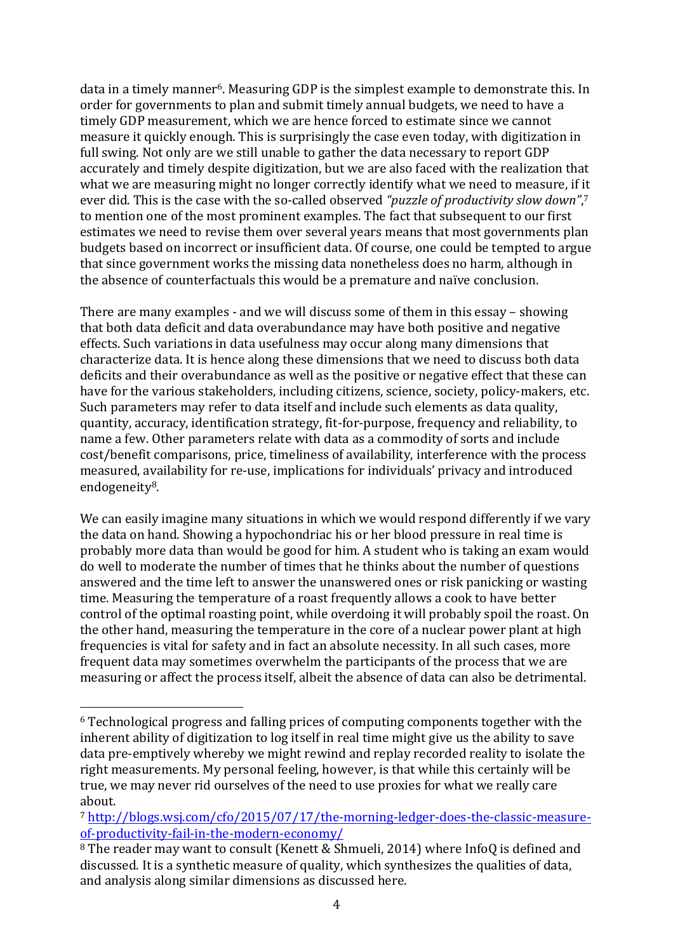data in a timely manner<sup>6</sup>. Measuring GDP is the simplest example to demonstrate this. In order for governments to plan and submit timely annual budgets, we need to have a timely GDP measurement, which we are hence forced to estimate since we cannot measure it quickly enough. This is surprisingly the case even today, with digitization in full swing. Not only are we still unable to gather the data necessary to report GDP accurately and timely despite digitization, but we are also faced with the realization that what we are measuring might no longer correctly identify what we need to measure, if it ever did. This is the case with the so-called observed "puzzle of productivity slow down",<sup>7</sup> to mention one of the most prominent examples. The fact that subsequent to our first estimates we need to revise them over several years means that most governments plan budgets based on incorrect or insufficient data. Of course, one could be tempted to argue that since government works the missing data nonetheless does no harm, although in the absence of counterfactuals this would be a premature and naïve conclusion.

There are many examples - and we will discuss some of them in this essay – showing that both data deficit and data overabundance may have both positive and negative effects. Such variations in data usefulness may occur along many dimensions that characterize data. It is hence along these dimensions that we need to discuss both data deficits and their overabundance as well as the positive or negative effect that these can have for the various stakeholders, including citizens, science, society, policy-makers, etc. Such parameters may refer to data itself and include such elements as data quality, quantity, accuracy, identification strategy, fit-for-purpose, frequency and reliability, to name a few. Other parameters relate with data as a commodity of sorts and include cost/benefit comparisons, price, timeliness of availability, interference with the process measured, availability for re-use, implications for individuals' privacy and introduced endogeneity8.

We can easily imagine many situations in which we would respond differently if we vary the data on hand. Showing a hypochondriac his or her blood pressure in real time is probably more data than would be good for him. A student who is taking an exam would do well to moderate the number of times that he thinks about the number of questions answered and the time left to answer the unanswered ones or risk panicking or wasting time. Measuring the temperature of a roast frequently allows a cook to have better control of the optimal roasting point, while overdoing it will probably spoil the roast. On the other hand, measuring the temperature in the core of a nuclear power plant at high frequencies is vital for safety and in fact an absolute necessity. In all such cases, more frequent data may sometimes overwhelm the participants of the process that we are measuring or affect the process itself, albeit the absence of data can also be detrimental.

 

<sup>&</sup>lt;sup>6</sup> Technological progress and falling prices of computing components together with the inherent ability of digitization to log itself in real time might give us the ability to save data pre-emptively whereby we might rewind and replay recorded reality to isolate the right measurements. My personal feeling, however, is that while this certainly will be true, we may never rid ourselves of the need to use proxies for what we really care about.

<sup>7</sup> http://blogs.wsj.com/cfo/2015/07/17/the-morning-ledger-does-the-classic-measureof-productivity-fail-in-the-modern-economy/

 $8$  The reader may want to consult (Kenett & Shmueli, 2014) where InfoQ is defined and discussed. It is a synthetic measure of quality, which synthesizes the qualities of data, and analysis along similar dimensions as discussed here.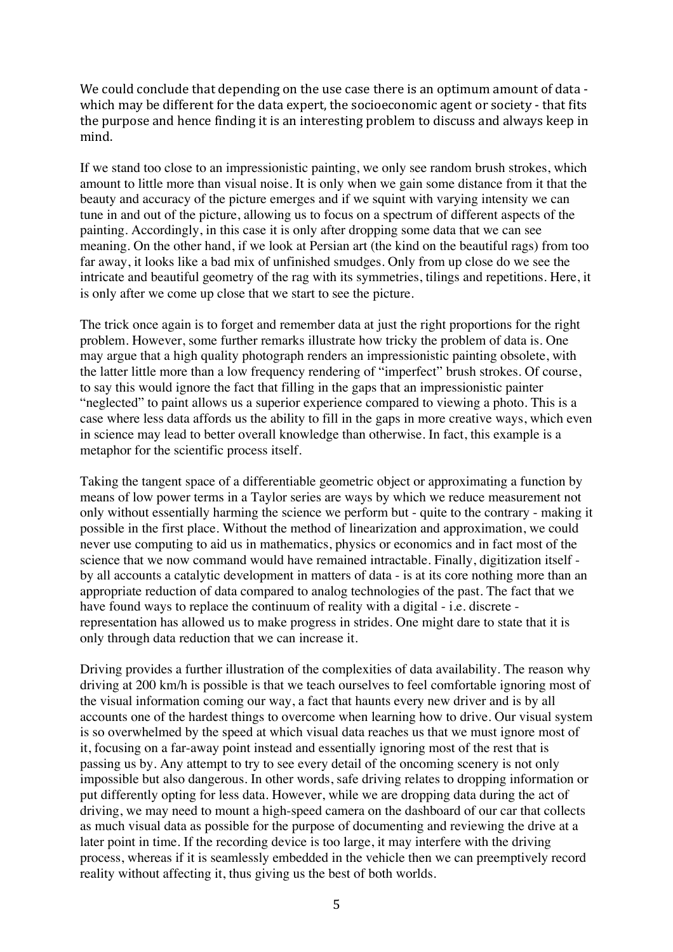We could conclude that depending on the use case there is an optimum amount of data which may be different for the data expert, the socioeconomic agent or society - that fits the purpose and hence finding it is an interesting problem to discuss and always keep in mind.

If we stand too close to an impressionistic painting, we only see random brush strokes, which amount to little more than visual noise. It is only when we gain some distance from it that the beauty and accuracy of the picture emerges and if we squint with varying intensity we can tune in and out of the picture, allowing us to focus on a spectrum of different aspects of the painting. Accordingly, in this case it is only after dropping some data that we can see meaning. On the other hand, if we look at Persian art (the kind on the beautiful rags) from too far away, it looks like a bad mix of unfinished smudges. Only from up close do we see the intricate and beautiful geometry of the rag with its symmetries, tilings and repetitions. Here, it is only after we come up close that we start to see the picture.

The trick once again is to forget and remember data at just the right proportions for the right problem. However, some further remarks illustrate how tricky the problem of data is. One may argue that a high quality photograph renders an impressionistic painting obsolete, with the latter little more than a low frequency rendering of "imperfect" brush strokes. Of course, to say this would ignore the fact that filling in the gaps that an impressionistic painter "neglected" to paint allows us a superior experience compared to viewing a photo. This is a case where less data affords us the ability to fill in the gaps in more creative ways, which even in science may lead to better overall knowledge than otherwise. In fact, this example is a metaphor for the scientific process itself.

Taking the tangent space of a differentiable geometric object or approximating a function by means of low power terms in a Taylor series are ways by which we reduce measurement not only without essentially harming the science we perform but - quite to the contrary - making it possible in the first place. Without the method of linearization and approximation, we could never use computing to aid us in mathematics, physics or economics and in fact most of the science that we now command would have remained intractable. Finally, digitization itself by all accounts a catalytic development in matters of data - is at its core nothing more than an appropriate reduction of data compared to analog technologies of the past. The fact that we have found ways to replace the continuum of reality with a digital - i.e. discrete representation has allowed us to make progress in strides. One might dare to state that it is only through data reduction that we can increase it.

Driving provides a further illustration of the complexities of data availability. The reason why driving at 200 km/h is possible is that we teach ourselves to feel comfortable ignoring most of the visual information coming our way, a fact that haunts every new driver and is by all accounts one of the hardest things to overcome when learning how to drive. Our visual system is so overwhelmed by the speed at which visual data reaches us that we must ignore most of it, focusing on a far-away point instead and essentially ignoring most of the rest that is passing us by. Any attempt to try to see every detail of the oncoming scenery is not only impossible but also dangerous. In other words, safe driving relates to dropping information or put differently opting for less data. However, while we are dropping data during the act of driving, we may need to mount a high-speed camera on the dashboard of our car that collects as much visual data as possible for the purpose of documenting and reviewing the drive at a later point in time. If the recording device is too large, it may interfere with the driving process, whereas if it is seamlessly embedded in the vehicle then we can preemptively record reality without affecting it, thus giving us the best of both worlds.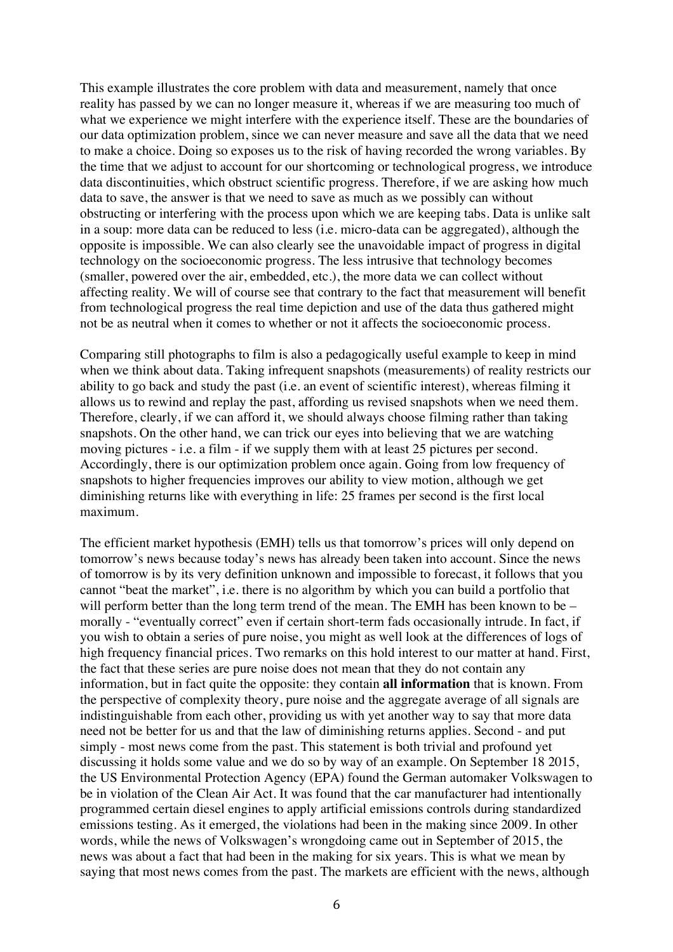This example illustrates the core problem with data and measurement, namely that once reality has passed by we can no longer measure it, whereas if we are measuring too much of what we experience we might interfere with the experience itself. These are the boundaries of our data optimization problem, since we can never measure and save all the data that we need to make a choice. Doing so exposes us to the risk of having recorded the wrong variables. By the time that we adjust to account for our shortcoming or technological progress, we introduce data discontinuities, which obstruct scientific progress. Therefore, if we are asking how much data to save, the answer is that we need to save as much as we possibly can without obstructing or interfering with the process upon which we are keeping tabs. Data is unlike salt in a soup: more data can be reduced to less (i.e. micro-data can be aggregated), although the opposite is impossible. We can also clearly see the unavoidable impact of progress in digital technology on the socioeconomic progress. The less intrusive that technology becomes (smaller, powered over the air, embedded, etc.), the more data we can collect without affecting reality. We will of course see that contrary to the fact that measurement will benefit from technological progress the real time depiction and use of the data thus gathered might not be as neutral when it comes to whether or not it affects the socioeconomic process.

Comparing still photographs to film is also a pedagogically useful example to keep in mind when we think about data. Taking infrequent snapshots (measurements) of reality restricts our ability to go back and study the past (i.e. an event of scientific interest), whereas filming it allows us to rewind and replay the past, affording us revised snapshots when we need them. Therefore, clearly, if we can afford it, we should always choose filming rather than taking snapshots. On the other hand, we can trick our eyes into believing that we are watching moving pictures - i.e. a film - if we supply them with at least 25 pictures per second. Accordingly, there is our optimization problem once again. Going from low frequency of snapshots to higher frequencies improves our ability to view motion, although we get diminishing returns like with everything in life: 25 frames per second is the first local maximum.

The efficient market hypothesis (EMH) tells us that tomorrow's prices will only depend on tomorrow's news because today's news has already been taken into account. Since the news of tomorrow is by its very definition unknown and impossible to forecast, it follows that you cannot "beat the market", i.e. there is no algorithm by which you can build a portfolio that will perform better than the long term trend of the mean. The EMH has been known to be – morally - "eventually correct" even if certain short-term fads occasionally intrude. In fact, if you wish to obtain a series of pure noise, you might as well look at the differences of logs of high frequency financial prices. Two remarks on this hold interest to our matter at hand. First, the fact that these series are pure noise does not mean that they do not contain any information, but in fact quite the opposite: they contain **all information** that is known. From the perspective of complexity theory, pure noise and the aggregate average of all signals are indistinguishable from each other, providing us with yet another way to say that more data need not be better for us and that the law of diminishing returns applies. Second - and put simply - most news come from the past. This statement is both trivial and profound yet discussing it holds some value and we do so by way of an example. On September 18 2015, the US Environmental Protection Agency (EPA) found the German automaker Volkswagen to be in violation of the Clean Air Act. It was found that the car manufacturer had intentionally programmed certain diesel engines to apply artificial emissions controls during standardized emissions testing. As it emerged, the violations had been in the making since 2009. In other words, while the news of Volkswagen's wrongdoing came out in September of 2015, the news was about a fact that had been in the making for six years. This is what we mean by saying that most news comes from the past. The markets are efficient with the news, although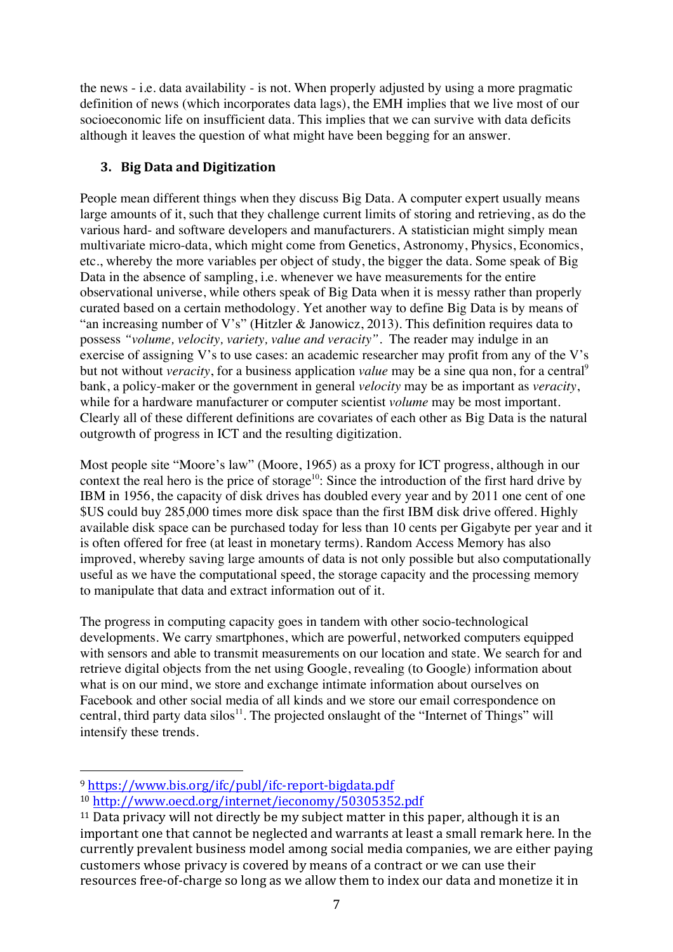the news - i.e. data availability - is not. When properly adjusted by using a more pragmatic definition of news (which incorporates data lags), the EMH implies that we live most of our socioeconomic life on insufficient data. This implies that we can survive with data deficits although it leaves the question of what might have been begging for an answer.

## **3. Big Data and Digitization**

People mean different things when they discuss Big Data. A computer expert usually means large amounts of it, such that they challenge current limits of storing and retrieving, as do the various hard- and software developers and manufacturers. A statistician might simply mean multivariate micro-data, which might come from Genetics, Astronomy, Physics, Economics, etc., whereby the more variables per object of study, the bigger the data. Some speak of Big Data in the absence of sampling, i.e. whenever we have measurements for the entire observational universe, while others speak of Big Data when it is messy rather than properly curated based on a certain methodology. Yet another way to define Big Data is by means of "an increasing number of V's" (Hitzler & Janowicz, 2013). This definition requires data to possess *"volume, velocity, variety, value and veracity"*. The reader may indulge in an exercise of assigning V's to use cases: an academic researcher may profit from any of the V's but not without *veracity*, for a business application *value* may be a sine qua non, for a central<sup>9</sup> bank, a policy-maker or the government in general *velocity* may be as important as *veracity*, while for a hardware manufacturer or computer scientist *volume* may be most important. Clearly all of these different definitions are covariates of each other as Big Data is the natural outgrowth of progress in ICT and the resulting digitization.

Most people site "Moore's law" (Moore, 1965) as a proxy for ICT progress, although in our context the real hero is the price of storage<sup>10</sup>: Since the introduction of the first hard drive by IBM in 1956, the capacity of disk drives has doubled every year and by 2011 one cent of one \$US could buy 285,000 times more disk space than the first IBM disk drive offered. Highly available disk space can be purchased today for less than 10 cents per Gigabyte per year and it is often offered for free (at least in monetary terms). Random Access Memory has also improved, whereby saving large amounts of data is not only possible but also computationally useful as we have the computational speed, the storage capacity and the processing memory to manipulate that data and extract information out of it.

The progress in computing capacity goes in tandem with other socio-technological developments. We carry smartphones, which are powerful, networked computers equipped with sensors and able to transmit measurements on our location and state. We search for and retrieve digital objects from the net using Google, revealing (to Google) information about what is on our mind, we store and exchange intimate information about ourselves on Facebook and other social media of all kinds and we store our email correspondence on central, third party data silos<sup>11</sup>. The projected onslaught of the "Internet of Things" will intensify these trends.

 

<sup>9</sup> https://www.bis.org/ifc/publ/ifc-report-bigdata.pdf

<sup>10</sup> http://www.oecd.org/internet/ieconomy/50305352.pdf

 $11$  Data privacy will not directly be my subject matter in this paper, although it is an important one that cannot be neglected and warrants at least a small remark here. In the currently prevalent business model among social media companies, we are either paying customers whose privacy is covered by means of a contract or we can use their resources free-of-charge so long as we allow them to index our data and monetize it in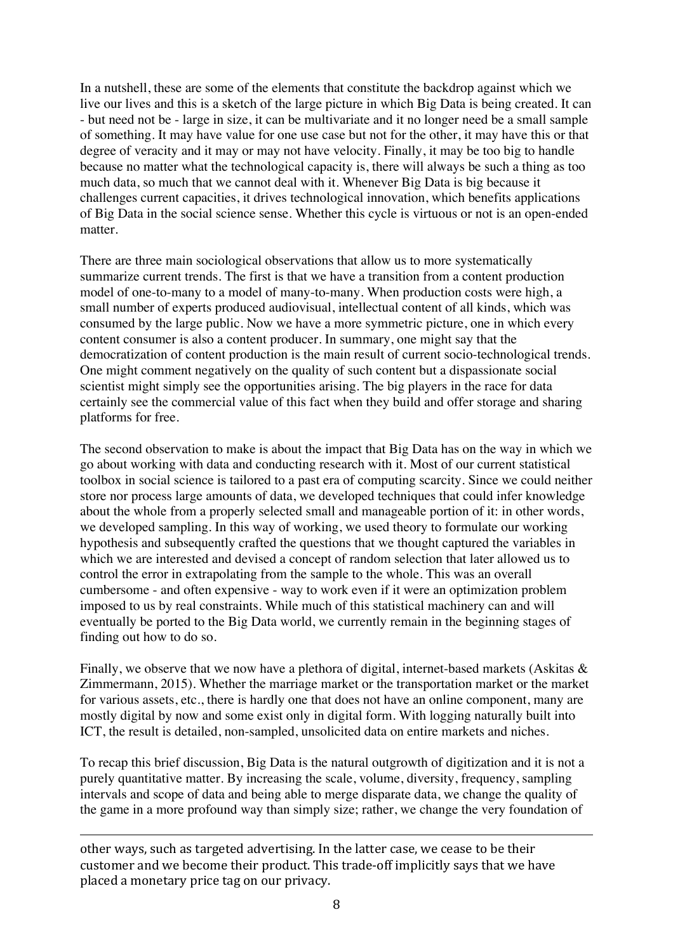In a nutshell, these are some of the elements that constitute the backdrop against which we live our lives and this is a sketch of the large picture in which Big Data is being created. It can - but need not be - large in size, it can be multivariate and it no longer need be a small sample of something. It may have value for one use case but not for the other, it may have this or that degree of veracity and it may or may not have velocity. Finally, it may be too big to handle because no matter what the technological capacity is, there will always be such a thing as too much data, so much that we cannot deal with it. Whenever Big Data is big because it challenges current capacities, it drives technological innovation, which benefits applications of Big Data in the social science sense. Whether this cycle is virtuous or not is an open-ended matter.

There are three main sociological observations that allow us to more systematically summarize current trends. The first is that we have a transition from a content production model of one-to-many to a model of many-to-many. When production costs were high, a small number of experts produced audiovisual, intellectual content of all kinds, which was consumed by the large public. Now we have a more symmetric picture, one in which every content consumer is also a content producer. In summary, one might say that the democratization of content production is the main result of current socio-technological trends. One might comment negatively on the quality of such content but a dispassionate social scientist might simply see the opportunities arising. The big players in the race for data certainly see the commercial value of this fact when they build and offer storage and sharing platforms for free.

The second observation to make is about the impact that Big Data has on the way in which we go about working with data and conducting research with it. Most of our current statistical toolbox in social science is tailored to a past era of computing scarcity. Since we could neither store nor process large amounts of data, we developed techniques that could infer knowledge about the whole from a properly selected small and manageable portion of it: in other words, we developed sampling. In this way of working, we used theory to formulate our working hypothesis and subsequently crafted the questions that we thought captured the variables in which we are interested and devised a concept of random selection that later allowed us to control the error in extrapolating from the sample to the whole. This was an overall cumbersome - and often expensive - way to work even if it were an optimization problem imposed to us by real constraints. While much of this statistical machinery can and will eventually be ported to the Big Data world, we currently remain in the beginning stages of finding out how to do so.

Finally, we observe that we now have a plethora of digital, internet-based markets (Askitas & Zimmermann, 2015). Whether the marriage market or the transportation market or the market for various assets, etc., there is hardly one that does not have an online component, many are mostly digital by now and some exist only in digital form. With logging naturally built into ICT, the result is detailed, non-sampled, unsolicited data on entire markets and niches.

To recap this brief discussion, Big Data is the natural outgrowth of digitization and it is not a purely quantitative matter. By increasing the scale, volume, diversity, frequency, sampling intervals and scope of data and being able to merge disparate data, we change the quality of the game in a more profound way than simply size; rather, we change the very foundation of

<u> 1989 - Andrea San Andrea San Andrea San Andrea San Andrea San Andrea San Andrea San Andrea San Andrea San An</u>

other ways, such as targeted advertising. In the latter case, we cease to be their customer and we become their product. This trade-off implicitly says that we have placed a monetary price tag on our privacy.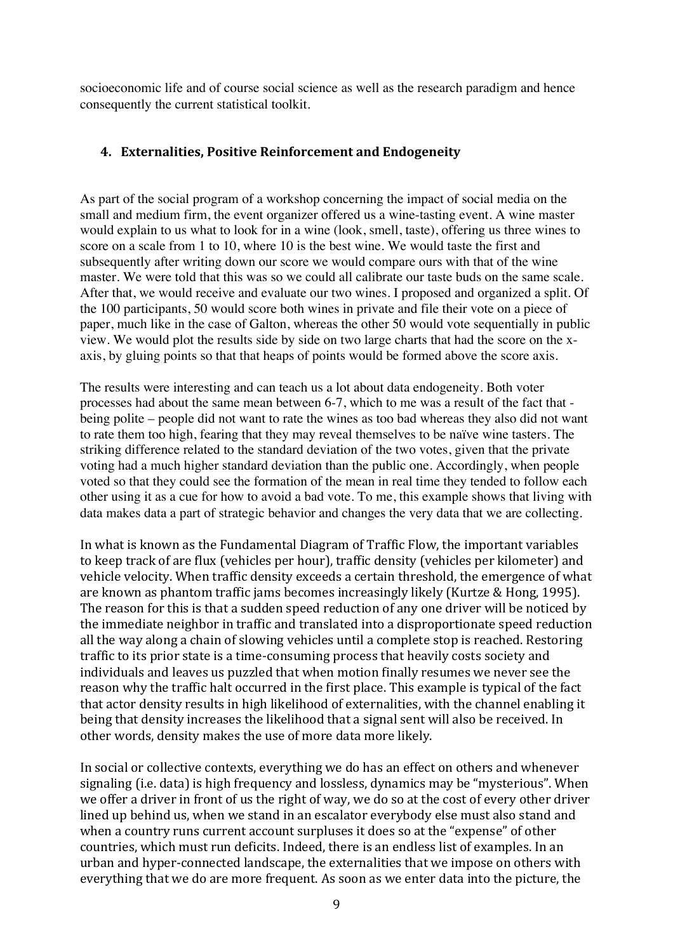socioeconomic life and of course social science as well as the research paradigm and hence consequently the current statistical toolkit.

#### **4. Externalities, Positive Reinforcement and Endogeneity**

As part of the social program of a workshop concerning the impact of social media on the small and medium firm, the event organizer offered us a wine-tasting event. A wine master would explain to us what to look for in a wine (look, smell, taste), offering us three wines to score on a scale from 1 to 10, where 10 is the best wine. We would taste the first and subsequently after writing down our score we would compare ours with that of the wine master. We were told that this was so we could all calibrate our taste buds on the same scale. After that, we would receive and evaluate our two wines. I proposed and organized a split. Of the 100 participants, 50 would score both wines in private and file their vote on a piece of paper, much like in the case of Galton, whereas the other 50 would vote sequentially in public view. We would plot the results side by side on two large charts that had the score on the xaxis, by gluing points so that that heaps of points would be formed above the score axis.

The results were interesting and can teach us a lot about data endogeneity. Both voter processes had about the same mean between 6-7, which to me was a result of the fact that being polite – people did not want to rate the wines as too bad whereas they also did not want to rate them too high, fearing that they may reveal themselves to be naïve wine tasters. The striking difference related to the standard deviation of the two votes, given that the private voting had a much higher standard deviation than the public one. Accordingly, when people voted so that they could see the formation of the mean in real time they tended to follow each other using it as a cue for how to avoid a bad vote. To me, this example shows that living with data makes data a part of strategic behavior and changes the very data that we are collecting.

In what is known as the Fundamental Diagram of Traffic Flow, the important variables to keep track of are flux (vehicles per hour), traffic density (vehicles per kilometer) and vehicle velocity. When traffic density exceeds a certain threshold, the emergence of what are known as phantom traffic jams becomes increasingly likely (Kurtze & Hong, 1995). The reason for this is that a sudden speed reduction of any one driver will be noticed by the immediate neighbor in traffic and translated into a disproportionate speed reduction all the way along a chain of slowing vehicles until a complete stop is reached. Restoring traffic to its prior state is a time-consuming process that heavily costs society and individuals and leaves us puzzled that when motion finally resumes we never see the reason why the traffic halt occurred in the first place. This example is typical of the fact that actor density results in high likelihood of externalities, with the channel enabling it being that density increases the likelihood that a signal sent will also be received. In other words, density makes the use of more data more likely.

In social or collective contexts, everything we do has an effect on others and whenever signaling (i.e. data) is high frequency and lossless, dynamics may be "mysterious". When we offer a driver in front of us the right of way, we do so at the cost of every other driver lined up behind us, when we stand in an escalator everybody else must also stand and when a country runs current account surpluses it does so at the "expense" of other countries, which must run deficits. Indeed, there is an endless list of examples. In an urban and hyper-connected landscape, the externalities that we impose on others with everything that we do are more frequent. As soon as we enter data into the picture, the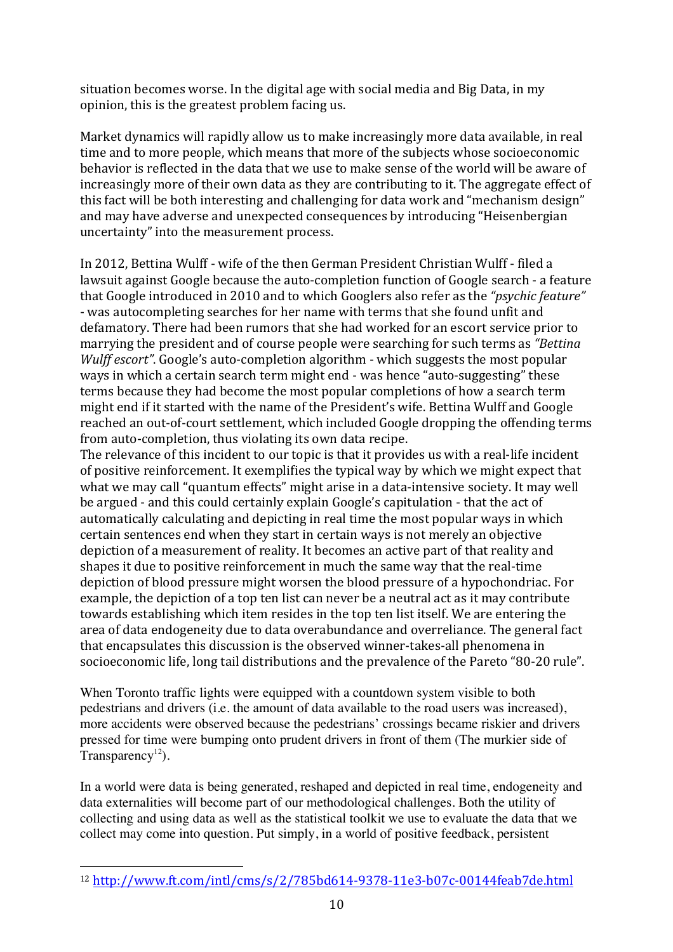situation becomes worse. In the digital age with social media and Big Data, in my opinion, this is the greatest problem facing us.

Market dynamics will rapidly allow us to make increasingly more data available, in real time and to more people, which means that more of the subjects whose socioeconomic behavior is reflected in the data that we use to make sense of the world will be aware of increasingly more of their own data as they are contributing to it. The aggregate effect of this fact will be both interesting and challenging for data work and "mechanism design" and may have adverse and unexpected consequences by introducing "Heisenbergian uncertainty" into the measurement process.

In 2012, Bettina Wulff - wife of the then German President Christian Wulff - filed a lawsuit against Google because the auto-completion function of Google search - a feature that Google introduced in 2010 and to which Googlers also refer as the "*psychic feature*" - was autocompleting searches for her name with terms that she found unfit and defamatory. There had been rumors that she had worked for an escort service prior to marrying the president and of course people were searching for such terms as *"Betting Wulff escort"*. Google's auto-completion algorithm - which suggests the most popular ways in which a certain search term might end - was hence "auto-suggesting" these terms because they had become the most popular completions of how a search term might end if it started with the name of the President's wife. Bettina Wulff and Google reached an out-of-court settlement, which included Google dropping the offending terms from auto-completion, thus violating its own data recipe.

The relevance of this incident to our topic is that it provides us with a real-life incident of positive reinforcement. It exemplifies the typical way by which we might expect that what we may call "quantum effects" might arise in a data-intensive society. It may well be argued - and this could certainly explain Google's capitulation - that the act of automatically calculating and depicting in real time the most popular ways in which certain sentences end when they start in certain ways is not merely an objective depiction of a measurement of reality. It becomes an active part of that reality and shapes it due to positive reinforcement in much the same way that the real-time depiction of blood pressure might worsen the blood pressure of a hypochondriac. For example, the depiction of a top ten list can never be a neutral act as it may contribute towards establishing which item resides in the top ten list itself. We are entering the area of data endogeneity due to data overabundance and overreliance. The general fact that encapsulates this discussion is the observed winner-takes-all phenomena in socioeconomic life, long tail distributions and the prevalence of the Pareto "80-20 rule".

When Toronto traffic lights were equipped with a countdown system visible to both pedestrians and drivers (i.e. the amount of data available to the road users was increased), more accidents were observed because the pedestrians' crossings became riskier and drivers pressed for time were bumping onto prudent drivers in front of them (The murkier side of Transparency<sup>12</sup>).

In a world were data is being generated, reshaped and depicted in real time, endogeneity and data externalities will become part of our methodological challenges. Both the utility of collecting and using data as well as the statistical toolkit we use to evaluate the data that we collect may come into question. Put simply, in a world of positive feedback, persistent

 <sup>12</sup> http://www.ft.com/intl/cms/s/2/785bd614-9378-11e3-b07c-00144feab7de.html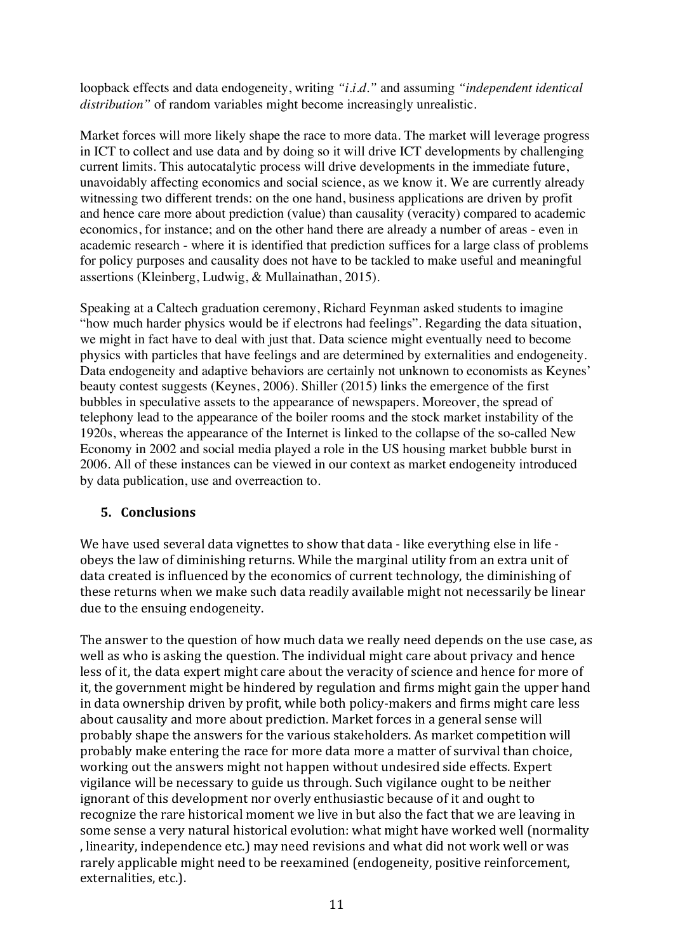loopback effects and data endogeneity, writing *"i.i.d."* and assuming *"independent identical distribution"* of random variables might become increasingly unrealistic.

Market forces will more likely shape the race to more data. The market will leverage progress in ICT to collect and use data and by doing so it will drive ICT developments by challenging current limits. This autocatalytic process will drive developments in the immediate future, unavoidably affecting economics and social science, as we know it. We are currently already witnessing two different trends: on the one hand, business applications are driven by profit and hence care more about prediction (value) than causality (veracity) compared to academic economics, for instance; and on the other hand there are already a number of areas - even in academic research - where it is identified that prediction suffices for a large class of problems for policy purposes and causality does not have to be tackled to make useful and meaningful assertions (Kleinberg, Ludwig, & Mullainathan, 2015).

Speaking at a Caltech graduation ceremony, Richard Feynman asked students to imagine "how much harder physics would be if electrons had feelings". Regarding the data situation, we might in fact have to deal with just that. Data science might eventually need to become physics with particles that have feelings and are determined by externalities and endogeneity. Data endogeneity and adaptive behaviors are certainly not unknown to economists as Keynes' beauty contest suggests (Keynes, 2006). Shiller (2015) links the emergence of the first bubbles in speculative assets to the appearance of newspapers. Moreover, the spread of telephony lead to the appearance of the boiler rooms and the stock market instability of the 1920s, whereas the appearance of the Internet is linked to the collapse of the so-called New Economy in 2002 and social media played a role in the US housing market bubble burst in 2006. All of these instances can be viewed in our context as market endogeneity introduced by data publication, use and overreaction to.

#### **5. Conclusions**

We have used several data vignettes to show that data - like everything else in life obeys the law of diminishing returns. While the marginal utility from an extra unit of data created is influenced by the economics of current technology, the diminishing of these returns when we make such data readily available might not necessarily be linear due to the ensuing endogeneity.

The answer to the question of how much data we really need depends on the use case, as well as who is asking the question. The individual might care about privacy and hence less of it, the data expert might care about the veracity of science and hence for more of it, the government might be hindered by regulation and firms might gain the upper hand in data ownership driven by profit, while both policy-makers and firms might care less about causality and more about prediction. Market forces in a general sense will probably shape the answers for the various stakeholders. As market competition will probably make entering the race for more data more a matter of survival than choice, working out the answers might not happen without undesired side effects. Expert vigilance will be necessary to guide us through. Such vigilance ought to be neither ignorant of this development nor overly enthusiastic because of it and ought to recognize the rare historical moment we live in but also the fact that we are leaving in some sense a very natural historical evolution: what might have worked well (normality , linearity, independence etc.) may need revisions and what did not work well or was rarely applicable might need to be reexamined (endogeneity, positive reinforcement, externalities, etc.).